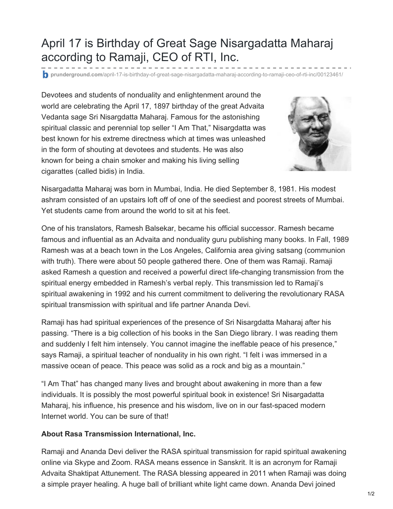## April 17 is Birthday of Great Sage Nisargadatta Maharaj according to Ramaji, CEO of RTI, Inc.

**prunderground.com**[/april-17-is-birthday-of-great-sage-nisargadatta-maharaj-according-to-ramaji-ceo-of-rti-inc/00123461/](http://www.prunderground.com/april-17-is-birthday-of-great-sage-nisargadatta-maharaj-according-to-ramaji-ceo-of-rti-inc/00123461/)

Devotees and students of nonduality and enlightenment around the world are celebrating the April 17, 1897 birthday of the great Advaita Vedanta sage Sri Nisargdatta Maharaj. Famous for the astonishing spiritual classic and perennial top seller "I Am That," Nisargdatta was best known for his extreme directness which at times was unleashed in the form of shouting at devotees and students. He was also known for being a chain smoker and making his living selling cigarattes (called bidis) in India.



Nisargadatta Maharaj was born in Mumbai, India. He died September 8, 1981. His modest ashram consisted of an upstairs loft off of one of the seediest and poorest streets of Mumbai. Yet students came from around the world to sit at his feet.

One of his translators, Ramesh Balsekar, became his official successor. Ramesh became famous and influential as an Advaita and nonduality guru publishing many books. In Fall, 1989 Ramesh was at a beach town in the Los Angeles, California area giving satsang (communion with truth). There were about 50 people gathered there. One of them was Ramaji. Ramaji asked Ramesh a question and received a powerful direct life-changing transmission from the spiritual energy embedded in Ramesh's verbal reply. This transmission led to Ramaji's spiritual awakening in 1992 and his current commitment to delivering the revolutionary RASA spiritual transmission with spiritual and life partner Ananda Devi.

Ramaji has had spiritual experiences of the presence of Sri Nisargdatta Maharaj after his passing. "There is a big collection of his books in the San Diego library. I was reading them and suddenly I felt him intensely. You cannot imagine the ineffable peace of his presence," says Ramaji, a spiritual teacher of nonduality in his own right. "I felt i was immersed in a massive ocean of peace. This peace was solid as a rock and big as a mountain."

"I Am That" has changed many lives and brought about awakening in more than a few individuals. It is possibly the most powerful spiritual book in existence! Sri Nisargadatta Maharaj, his influence, his presence and his wisdom, live on in our fast-spaced modern Internet world. You can be sure of that!

## **About Rasa Transmission International, Inc.**

Ramaji and Ananda Devi deliver the RASA spiritual transmission for rapid spiritual awakening online via Skype and Zoom. RASA means essence in Sanskrit. It is an acronym for Ramaji Advaita Shaktipat Attunement. The RASA blessing appeared in 2011 when Ramaji was doing a simple prayer healing. A huge ball of brilliant white light came down. Ananda Devi joined